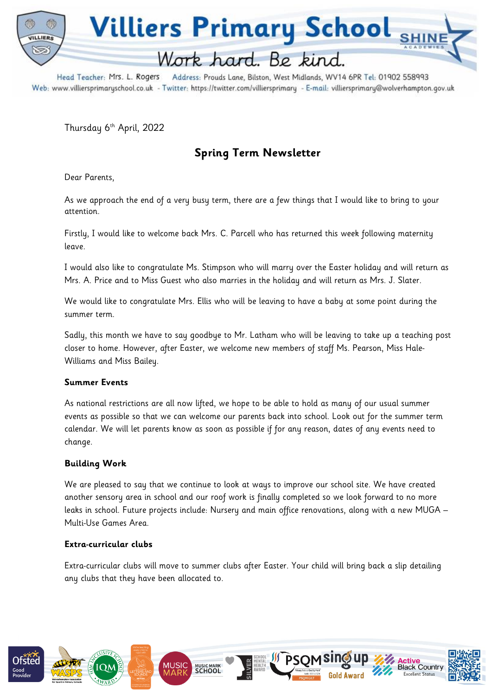

Head Teacher: Mrs. L. Rogers Address: Prouds Lane, Bilston, West Midlands, WV14 6PR Tel: 01902 558993 Web: www.villiersprimaryschool.co.uk - Twitter: https://twitter.com/villiersprimary - E-mail: villiersprimary@wolverhampton.gov.uk

Thursday 6<sup>th</sup> April, 2022

# **Spring Term Newsletter**

Dear Parents,

As we approach the end of a very busy term, there are a few things that I would like to bring to your attention.

Firstly, I would like to welcome back Mrs. C. Parcell who has returned this week following maternity leave.

I would also like to congratulate Ms. Stimpson who will marry over the Easter holiday and will return as Mrs. A. Price and to Miss Guest who also marries in the holiday and will return as Mrs. J. Slater.

We would like to congratulate Mrs. Ellis who will be leaving to have a baby at some point during the summer term.

Sadly, this month we have to say goodbye to Mr. Latham who will be leaving to take up a teaching post closer to home. However, after Easter, we welcome new members of staff Ms. Pearson, Miss Hale-Williams and Miss Bailey.

## **Summer Events**

As national restrictions are all now lifted, we hope to be able to hold as many of our usual summer events as possible so that we can welcome our parents back into school. Look out for the summer term calendar. We will let parents know as soon as possible if for any reason, dates of any events need to change.

## **Building Work**

We are pleased to say that we continue to look at ways to improve our school site. We have created another sensory area in school and our roof work is finally completed so we look forward to no more leaks in school. Future projects include: Nursery and main office renovations, along with a new MUGA – Multi-Use Games Area.

#### **Extra-curricular clubs**

Extra-curricular clubs will move to summer clubs after Easter. Your child will bring back a slip detailing any clubs that they have been allocated to.